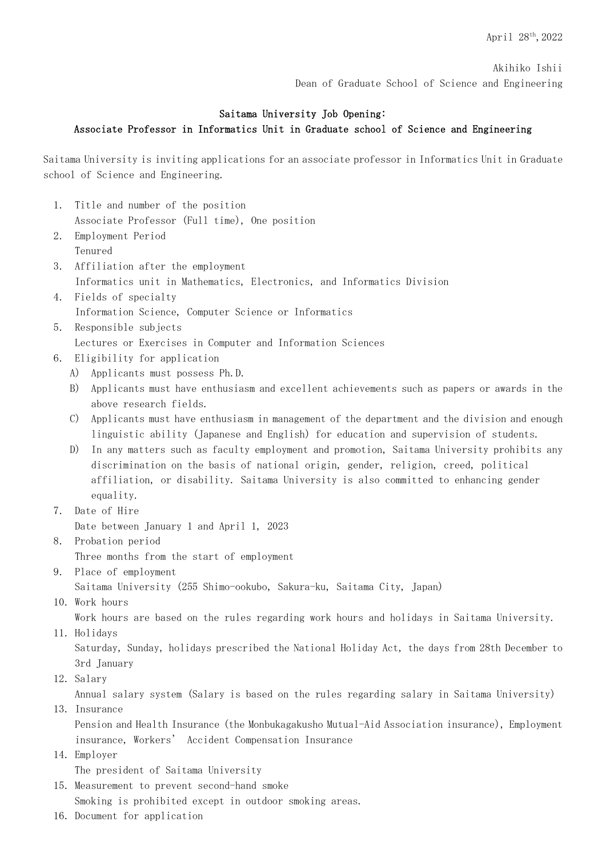Akihiko Ishii Dean of Graduate School of Science and Engineering

## Saitama University Job Opening: Associate Professor in Informatics Unit in Graduate school of Science and Engineering

Saitama University is inviting applications for an associate professor in Informatics Unit in Graduate school of Science and Engineering.

- 1. Title and number of the position Associate Professor (Full time), One position
- 2. Employment Period Tenured
- 3. Affiliation after the employment Informatics unit in Mathematics, Electronics, and Informatics Division
- 4. Fields of specialty Information Science, Computer Science or Informatics
- 5. Responsible subjects Lectures or Exercises in Computer and Information Sciences
- 6. Eligibility for application
	- A) Applicants must possess Ph.D.
	- B) Applicants must have enthusiasm and excellent achievements such as papers or awards in the above research fields.
	- C) Applicants must have enthusiasm in management of the department and the division and enough linguistic ability (Japanese and English) for education and supervision of students.
	- D) In any matters such as faculty employment and promotion, Saitama University prohibits any discrimination on the basis of national origin, gender, religion, creed, political affiliation, or disability. Saitama University is also committed to enhancing gender equality.
- 7. Date of Hire

Date between January 1 and April 1, 2023

- 8. Probation period Three months from the start of employment
- 9. Place of employment

Saitama University (255 Shimo-ookubo, Sakura-ku, Saitama City, Japan)

10. Work hours

Work hours are based on the rules regarding work hours and holidays in Saitama University.

11. Holidays

Saturday, Sunday, holidays prescribed the National Holiday Act, the days from 28th December to 3rd January

12. Salary

Annual salary system (Salary is based on the rules regarding salary in Saitama University)

13. Insurance

Pension and Health Insurance (the Monbukagakusho Mutual-Aid Association insurance), Employment insurance, Workers' Accident Compensation Insurance

14.Employer

The president of Saitama University

- 15.Measurement to prevent second-hand smoke Smoking is prohibited except in outdoor smoking areas.
- 16.Document for application